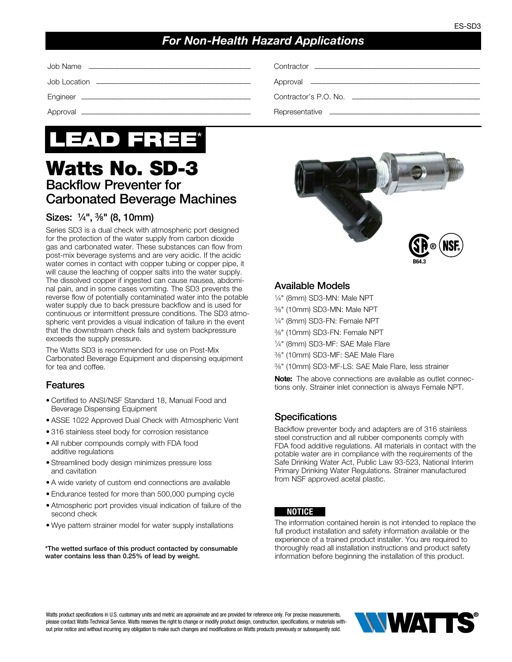# *For Non-Health Hazard Applications*

Job Name ––––––––––––––––––––––––––––––––––––––––––– Contractor ––––––––––––––––––––––––––––––––––––––––––––

Job Location ––––––––––––––––––––––––––––––––––––––––– Approval –––––––––––––––––––––––––––––––––––––––––––––

Engineer ––––––––––––––––––––––––––––––––––––––––––––– Contractor's P.O. No. ––––––––––––––––––––––––––––––––––

Approval ––––––––––––––––––––––––––––––––––––––––––––– Representative ––––––––––––––––––––––––––––––––––––––––



# Watts No. SD-3 Backflow Preventer for Carbonated Beverage Machines

## Sizes: 1⁄4", 3⁄8" (8, 10mm)

Series SD3 is a dual check with atmospheric port designed for the protection of the water supply from carbon dioxide gas and carbonated water. These substances can flow from post-mix beverage systems and are very acidic. If the acidic water comes in contact with copper tubing or copper pipe, it will cause the leaching of copper salts into the water supply. The dissolved copper if ingested can cause nausea, abdominal pain, and in some cases vomiting. The SD3 prevents the reverse flow of potentially contaminated water into the potable water supply due to back pressure backflow and is used for continuous or intermittent pressure conditions. The SD3 atmospheric vent provides a visual indication of failure in the event that the downstream check fails and system backpressure exceeds the supply pressure.

The Watts SD3 is recommended for use on Post-Mix Carbonated Beverage Equipment and dispensing equipment for tea and coffee.

## Features

- Certified to ANSI/NSF Standard 18, Manual Food and Beverage Dispensing Equipment
- ASSE 1022 Approved Dual Check with Atmospheric Vent
- 316 stainless steel body for corrosion resistance
- All rubber compounds comply with FDA food additive regulations
- Streamlined body design minimizes pressure loss and cavitation
- A wide variety of custom end connections are available
- Endurance tested for more than 500,000 pumping cycle
- Atmospheric port provides visual indication of failure of the second check
- Wye pattern strainer model for water supply installations

\*The wetted surface of this product contacted by consumable water contains less than 0.25% of lead by weight.

| $(5B)$ $(NSE)$ |  |
|----------------|--|

B64.3

### Available Models

- 1⁄4" (8mm) SD3-MN: Male NPT
- 3⁄8" (10mm) SD3-MN: Male NPT
- 1⁄4" (8mm) SD3-FN: Female NPT
- 3⁄8" (10mm) SD3-FN: Female NPT
- 1⁄4" (8mm) SD3-MF: SAE Male Flare
- 3⁄8" (10mm) SD3-MF: SAE Male Flare
- 3⁄8" (10mm) SD3-MF-LS: SAE Male Flare, less strainer

Note: The above connections are available as outlet connections only. Strainer inlet connection is always Female NPT.

## **Specifications**

Backflow preventer body and adapters are of 316 stainless steel construction and all rubber components comply with FDA food additive regulations. All materials in contact with the potable water are in compliance with the requirements of the Safe Drinking Water Act, Public Law 93-523, National Interim Primary Drinking Water Regulations. Strainer manufactured from NSF approved acetal plastic.

#### NOTICE

The information contained herein is not intended to replace the full product installation and safety information available or the experience of a trained product installer. You are required to thoroughly read all installation instructions and product safety information before beginning the installation of this product.

Watts product specifications in U.S. customary units and metric are approximate and are provided for reference only. For precise measurements, please contact Watts Technical Service. Watts reserves the right to change or modify product design, construction, specifications, or materials without prior notice and without incurring any obligation to make such changes and modifications on Watts products previously or subsequently sold.